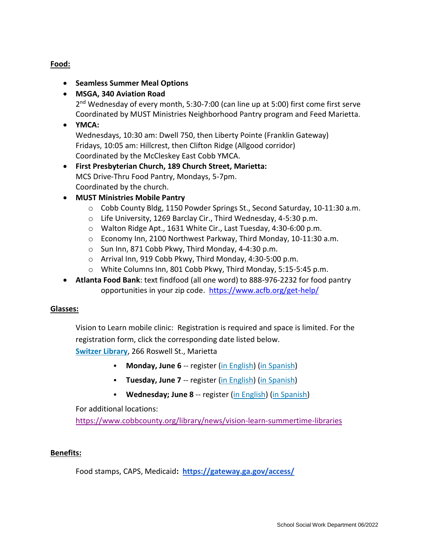# **Food:**

- **•** Seamless Summer Meal Options
- **MSGA, 340 Aviation Road**

2<sup>nd</sup> Wednesday of every month, 5:30-7:00 (can line up at 5:00) first come first serve Coordinated by MUST Ministries Neighborhood Pantry program and Feed Marietta.

**YMCA:**

Wednesdays, 10:30 am: Dwell 750, then Liberty Pointe (Franklin Gateway) Fridays, 10:05 am: Hillcrest, then Clifton Ridge (Allgood corridor) Coordinated by the McCleskey East Cobb YMCA.

- **First Presbyterian Church, 189 Church Street, Marietta:** MCS Drive-Thru Food Pantry, Mondays, 5-7pm. Coordinated by the church.
- **MUST Ministries Mobile Pantry**
	- o Cobb County Bldg, 1150 Powder Springs St., Second Saturday, 10-11:30 a.m.
	- o Life University, 1269 Barclay Cir., Third Wednesday, 4-5:30 p.m.
	- o Walton Ridge Apt., 1631 White Cir., Last Tuesday, 4:30-6:00 p.m.
	- o Economy Inn, 2100 Northwest Parkway, Third Monday, 10-11:30 a.m.
	- o Sun Inn, 871 Cobb Pkwy, Third Monday, 4-4:30 p.m.
	- o Arrival Inn, 919 Cobb Pkwy, Third Monday, 4:30-5:00 p.m.
	- o White Columns Inn, 801 Cobb Pkwy, Third Monday, 5:15-5:45 p.m.
- **Atlanta Food Bank**: text findfood (all one word) to 888-976-2232 for food pantry opportunities in your zip code. <https://www.acfb.org/get-help/>

## **Glasses:**

Vision to Learn mobile clinic: Registration is required and space is limited. For the registration form, click the corresponding date listed below.

**[Switzer Library](https://www.cobbcounty.org/library/locations/switzer-library)**, 266 Roswell St., Marietta

- **Monday, June 6** -- register [\(in English\)](https://s3.us-west-2.amazonaws.com/cobbcounty.org.if-us-west-2/prod/2022-04/VTL-%20Health%20Fair%20Flyer_Switzer%20Library%20060622.pdf) [\(in Spanish\)](https://s3.us-west-2.amazonaws.com/cobbcounty.org.if-us-west-2/prod/2022-04/VTL-%20Health%20Fair%20Flyer_%20SPANISH%20Switzer%20June%206.pdf)
- **Tuesday, June 7** -- register [\(in English\)](https://s3.us-west-2.amazonaws.com/cobbcounty.org.if-us-west-2/prod/2022-04/VTL-%20Health%20Fair%20Flyer_Switzer%20Library%20%20060722.pdf) [\(in Spanish\)](https://s3.us-west-2.amazonaws.com/cobbcounty.org.if-us-west-2/prod/2022-04/VTL-%20Health%20Fair%20Flyer_%20SPANISH%20Switzer%20June%207.pdf)
- **Wednesday; June 8** -- register [\(in English\)](https://s3.us-west-2.amazonaws.com/cobbcounty.org.if-us-west-2/prod/2022-04/VTL-%20Health%20Fair%20Flyer_Switzer%20Library%20060822.pdf) [\(in Spanish\)](https://s3.us-west-2.amazonaws.com/cobbcounty.org.if-us-west-2/prod/2022-04/VTL-%20Health%20Fair%20Flyer_%20SPANISH%20Switzer%20June%208.pdf)

For additional locations:

<https://www.cobbcounty.org/library/news/vision-learn-summertime-libraries>

## **Benefits:**

Food stamps, CAPS, Medicaid**: <https://gateway.ga.gov/access/>**